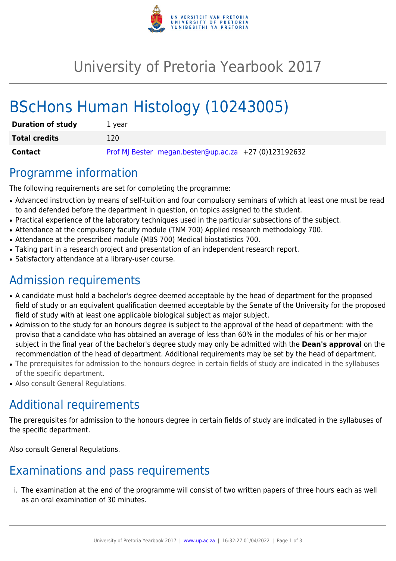

# University of Pretoria Yearbook 2017

# BScHons Human Histology (10243005)

| <b>Duration of study</b> | 1 vear                                                |
|--------------------------|-------------------------------------------------------|
| <b>Total credits</b>     | 120                                                   |
| <b>Contact</b>           | Prof MJ Bester megan.bester@up.ac.za +27 (0)123192632 |

### Programme information

The following requirements are set for completing the programme:

- Advanced instruction by means of self-tuition and four compulsory seminars of which at least one must be read to and defended before the department in question, on topics assigned to the student.
- Practical experience of the laboratory techniques used in the particular subsections of the subject.
- Attendance at the compulsory faculty module (TNM 700) Applied research methodology 700.
- Attendance at the prescribed module (MBS 700) Medical biostatistics 700.
- Taking part in a research project and presentation of an independent research report.
- Satisfactory attendance at a library-user course.

## Admission requirements

- A candidate must hold a bachelor's degree deemed acceptable by the head of department for the proposed field of study or an equivalent qualification deemed acceptable by the Senate of the University for the proposed field of study with at least one applicable biological subject as major subject.
- Admission to the study for an honours degree is subject to the approval of the head of department: with the proviso that a candidate who has obtained an average of less than 60% in the modules of his or her major subject in the final year of the bachelor's degree study may only be admitted with the **Dean's approval** on the recommendation of the head of department. Additional requirements may be set by the head of department.
- The prerequisites for admission to the honours degree in certain fields of study are indicated in the syllabuses of the specific department.
- Also consult General Regulations.

# Additional requirements

The prerequisites for admission to the honours degree in certain fields of study are indicated in the syllabuses of the specific department.

Also consult General Regulations.

## Examinations and pass requirements

i. The examination at the end of the programme will consist of two written papers of three hours each as well as an oral examination of 30 minutes.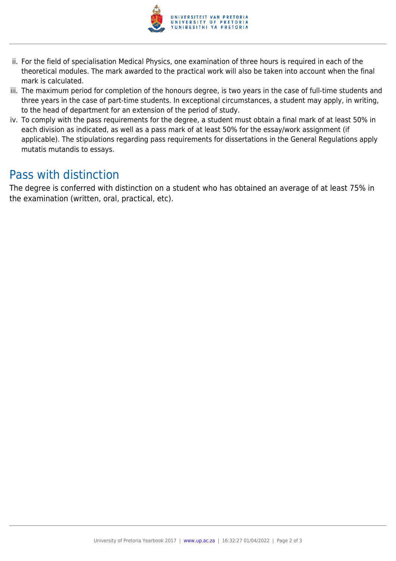

- ii. For the field of specialisation Medical Physics, one examination of three hours is required in each of the theoretical modules. The mark awarded to the practical work will also be taken into account when the final mark is calculated.
- iii. The maximum period for completion of the honours degree, is two years in the case of full-time students and three years in the case of part-time students. In exceptional circumstances, a student may apply, in writing, to the head of department for an extension of the period of study.
- iv. To comply with the pass requirements for the degree, a student must obtain a final mark of at least 50% in each division as indicated, as well as a pass mark of at least 50% for the essay/work assignment (if applicable). The stipulations regarding pass requirements for dissertations in the General Regulations apply mutatis mutandis to essays.

### Pass with distinction

The degree is conferred with distinction on a student who has obtained an average of at least 75% in the examination (written, oral, practical, etc).